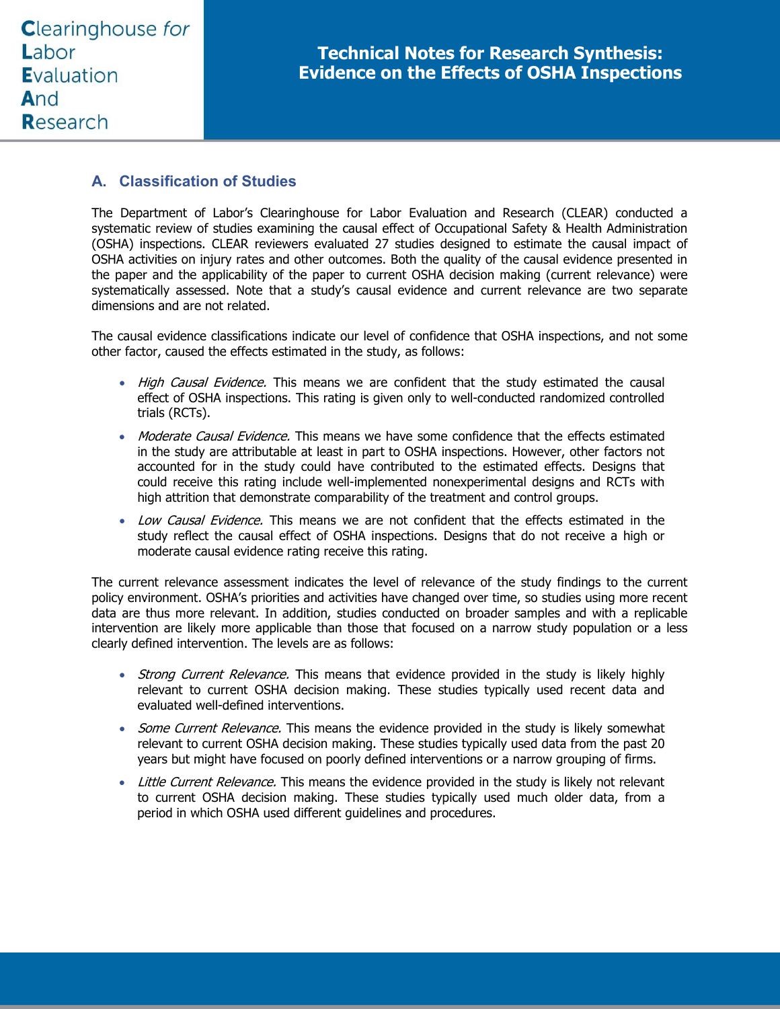# **A. Classification of Studies**

The Department of Labor's Clearinghouse for Labor Evaluation and Research (CLEAR) conducted a systematic review of studies examining the causal effect of Occupational Safety & Health Administration (OSHA) inspections. CLEAR reviewers evaluated 27 studies designed to estimate the causal impact of OSHA activities on injury rates and other outcomes. Both the quality of the causal evidence presented in the paper and the applicability of the paper to current OSHA decision making (current relevance) were systematically assessed. Note that a study's causal evidence and current relevance are two separate dimensions and are not related.

The causal evidence classifications indicate our level of confidence that OSHA inspections, and not some other factor, caused the effects estimated in the study, as follows:

- High Causal Evidence. This means we are confident that the study estimated the causal effect of OSHA inspections. This rating is given only to well-conducted randomized controlled trials (RCTs).
- Moderate Causal Evidence. This means we have some confidence that the effects estimated in the study are attributable at least in part to OSHA inspections. However, other factors not accounted for in the study could have contributed to the estimated effects. Designs that could receive this rating include well-implemented nonexperimental designs and RCTs with high attrition that demonstrate comparability of the treatment and control groups.
- Low Causal Evidence. This means we are not confident that the effects estimated in the study reflect the causal effect of OSHA inspections. Designs that do not receive a high or moderate causal evidence rating receive this rating.

The current relevance assessment indicates the level of relevance of the study findings to the current policy environment. OSHA's priorities and activities have changed over time, so studies using more recent data are thus more relevant. In addition, studies conducted on broader samples and with a replicable intervention are likely more applicable than those that focused on a narrow study population or a less clearly defined intervention. The levels are as follows:

- Strong Current Relevance. This means that evidence provided in the study is likely highly relevant to current OSHA decision making. These studies typically used recent data and evaluated well-defined interventions.
- Some Current Relevance. This means the evidence provided in the study is likely somewhat relevant to current OSHA decision making. These studies typically used data from the past 20 years but might have focused on poorly defined interventions or a narrow grouping of firms.
- Little Current Relevance. This means the evidence provided in the study is likely not relevant to current OSHA decision making. These studies typically used much older data, from a period in which OSHA used different guidelines and procedures.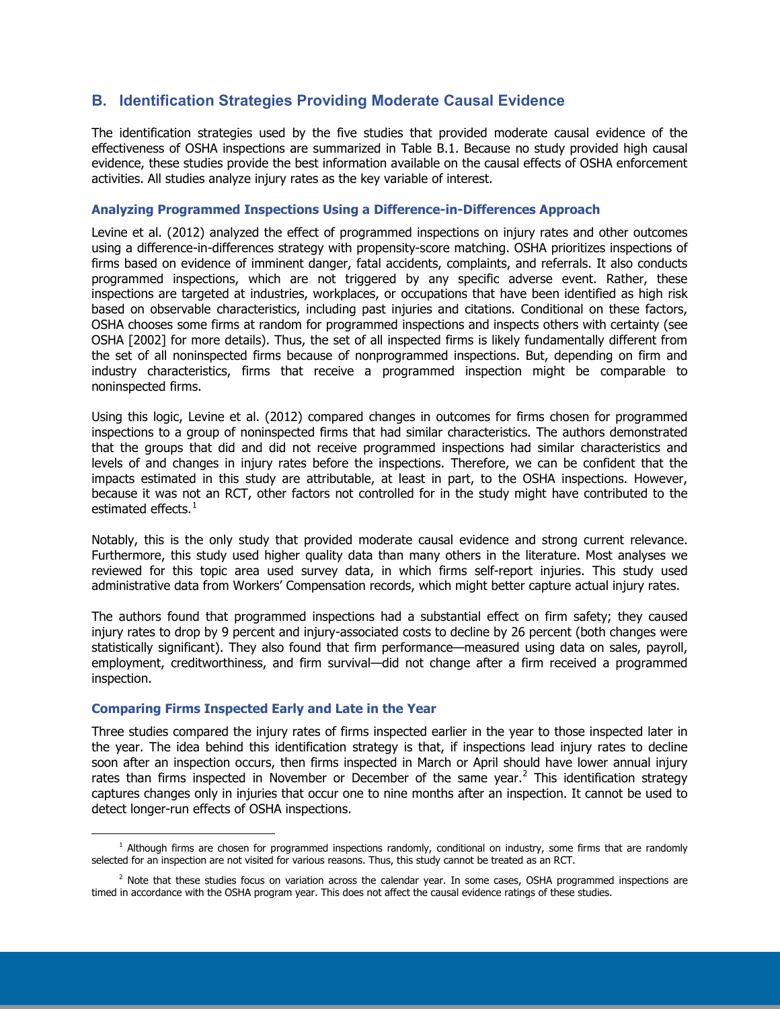# **B. Identification Strategies Providing Moderate Causal Evidence**

The identification strategies used by the five studies that provided moderate causal evidence of the effectiveness of OSHA inspections are summarized in Table B.1. Because no study provided high causal evidence, these studies provide the best information available on the causal effects of OSHA enforcement activities. All studies analyze injury rates as the key variable of interest.

### **Analyzing Programmed Inspections Using a Difference-in-Differences Approach**

Levine et al. (2012) analyzed the effect of programmed inspections on injury rates and other outcomes using a difference-in-differences strategy with propensity-score matching. OSHA prioritizes inspections of firms based on evidence of imminent danger, fatal accidents, complaints, and referrals. It also conducts programmed inspections, which are not triggered by any specific adverse event. Rather, these inspections are targeted at industries, workplaces, or occupations that have been identified as high risk based on observable characteristics, including past injuries and citations. Conditional on these factors, OSHA chooses some firms at random for programmed inspections and inspects others with certainty (see OSHA [2002] for more details). Thus, the set of all inspected firms is likely fundamentally different from the set of all noninspected firms because of nonprogrammed inspections. But, depending on firm and industry characteristics, firms that receive a programmed inspection might be comparable to noninspected firms.

Using this logic, Levine et al. (2012) compared changes in outcomes for firms chosen for programmed inspections to a group of noninspected firms that had similar characteristics. The authors demonstrated that the groups that did and did not receive programmed inspections had similar characteristics and levels of and changes in injury rates before the inspections. Therefore, we can be confident that the impacts estimated in this study are attributable, at least in part, to the OSHA inspections. However, because it was not an RCT, other factors not controlled for in the study might have contributed to the estimated effects. $<sup>1</sup>$  $<sup>1</sup>$  $<sup>1</sup>$ </sup>

Notably, this is the only study that provided moderate causal evidence and strong current relevance. Furthermore, this study used higher quality data than many others in the literature. Most analyses we reviewed for this topic area used survey data, in which firms self-report injuries. This study used administrative data from Workers' Compensation records, which might better capture actual injury rates.

The authors found that programmed inspections had a substantial effect on firm safety; they caused injury rates to drop by 9 percent and injury-associated costs to decline by 26 percent (both changes were statistically significant). They also found that firm performance—measured using data on sales, payroll, employment, creditworthiness, and firm survival—did not change after a firm received a programmed inspection.

#### **Comparing Firms Inspected Early and Late in the Year**

Three studies compared the injury rates of firms inspected earlier in the year to those inspected later in the year. The idea behind this identification strategy is that, if inspections lead injury rates to decline soon after an inspection occurs, then firms inspected in March or April should have lower annual injury rates than firms inspected in November or December of the same year.<sup>[2](#page-1-1)</sup> This identification strategy captures changes only in injuries that occur one to nine months after an inspection. It cannot be used to detect longer-run effects of OSHA inspections.

<span id="page-1-0"></span> $\overline{a}$  $<sup>1</sup>$  Although firms are chosen for programmed inspections randomly, conditional on industry, some firms that are randomly</sup> selected for an inspection are not visited for various reasons. Thus, this study cannot be treated as an RCT.

<span id="page-1-1"></span> $2$  Note that these studies focus on variation across the calendar year. In some cases, OSHA programmed inspections are timed in accordance with the OSHA program year. This does not affect the causal evidence ratings of these studies.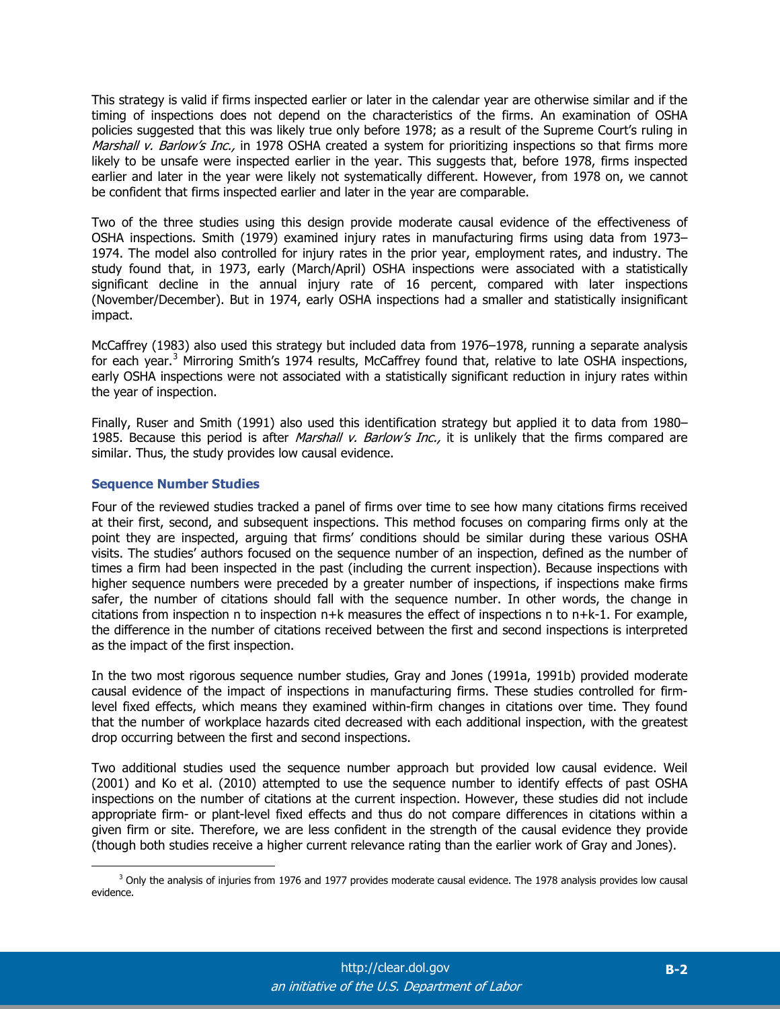This strategy is valid if firms inspected earlier or later in the calendar year are otherwise similar and if the timing of inspections does not depend on the characteristics of the firms. An examination of OSHA policies suggested that this was likely true only before 1978; as a result of the Supreme Court's ruling in Marshall v. Barlow's Inc., in 1978 OSHA created a system for prioritizing inspections so that firms more likely to be unsafe were inspected earlier in the year. This suggests that, before 1978, firms inspected earlier and later in the year were likely not systematically different. However, from 1978 on, we cannot be confident that firms inspected earlier and later in the year are comparable.

Two of the three studies using this design provide moderate causal evidence of the effectiveness of OSHA inspections. Smith (1979) examined injury rates in manufacturing firms using data from 1973– 1974. The model also controlled for injury rates in the prior year, employment rates, and industry. The study found that, in 1973, early (March/April) OSHA inspections were associated with a statistically significant decline in the annual injury rate of 16 percent, compared with later inspections (November/December). But in 1974, early OSHA inspections had a smaller and statistically insignificant impact.

McCaffrey (1983) also used this strategy but included data from 1976–1978, running a separate analysis for each year.<sup>[3](#page-2-0)</sup> Mirroring Smith's 1974 results, McCaffrey found that, relative to late OSHA inspections, early OSHA inspections were not associated with a statistically significant reduction in injury rates within the year of inspection.

Finally, Ruser and Smith (1991) also used this identification strategy but applied it to data from 1980– 1985. Because this period is after *Marshall v. Barlow's Inc.*, it is unlikely that the firms compared are similar. Thus, the study provides low causal evidence.

## **Sequence Number Studies**

 $\overline{a}$ 

Four of the reviewed studies tracked a panel of firms over time to see how many citations firms received at their first, second, and subsequent inspections. This method focuses on comparing firms only at the point they are inspected, arguing that firms' conditions should be similar during these various OSHA visits. The studies' authors focused on the sequence number of an inspection, defined as the number of times a firm had been inspected in the past (including the current inspection). Because inspections with higher sequence numbers were preceded by a greater number of inspections, if inspections make firms safer, the number of citations should fall with the sequence number. In other words, the change in citations from inspection n to inspection n+k measures the effect of inspections n to n+k-1. For example, the difference in the number of citations received between the first and second inspections is interpreted as the impact of the first inspection.

In the two most rigorous sequence number studies, Gray and Jones (1991a, 1991b) provided moderate causal evidence of the impact of inspections in manufacturing firms. These studies controlled for firmlevel fixed effects, which means they examined within-firm changes in citations over time. They found that the number of workplace hazards cited decreased with each additional inspection, with the greatest drop occurring between the first and second inspections.

Two additional studies used the sequence number approach but provided low causal evidence. Weil (2001) and Ko et al. (2010) attempted to use the sequence number to identify effects of past OSHA inspections on the number of citations at the current inspection. However, these studies did not include appropriate firm- or plant-level fixed effects and thus do not compare differences in citations within a given firm or site. Therefore, we are less confident in the strength of the causal evidence they provide (though both studies receive a higher current relevance rating than the earlier work of Gray and Jones).

<span id="page-2-0"></span> $3$  Only the analysis of injuries from 1976 and 1977 provides moderate causal evidence. The 1978 analysis provides low causal evidence.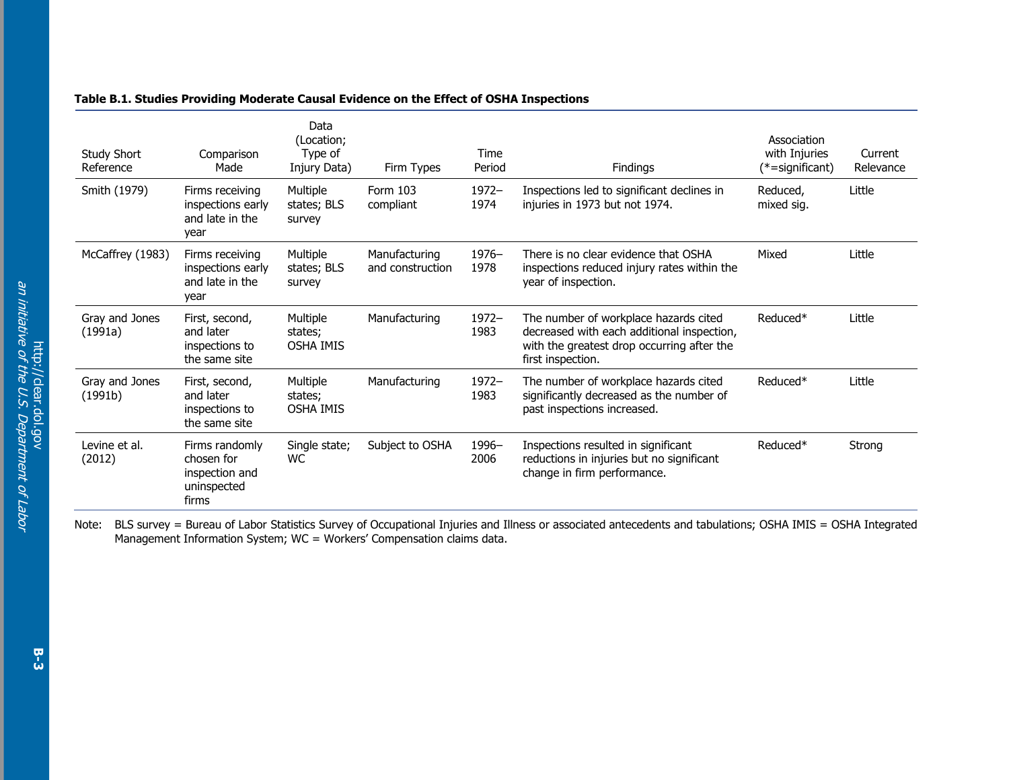| <b>Study Short</b><br>Reference | Comparison<br>Made                                                     | Data<br>(Location;<br>Type of<br>Injury Data) | Firm Types                        | Time<br>Period   | Findings                                                                                                                                               | Association<br>with Injuries<br>$(*=$ significant) | Current<br>Relevance |
|---------------------------------|------------------------------------------------------------------------|-----------------------------------------------|-----------------------------------|------------------|--------------------------------------------------------------------------------------------------------------------------------------------------------|----------------------------------------------------|----------------------|
| Smith (1979)                    | Firms receiving<br>inspections early<br>and late in the<br>year        | Multiple<br>states; BLS<br>survey             | Form 103<br>compliant             | $1972 -$<br>1974 | Inspections led to significant declines in<br>injuries in 1973 but not 1974.                                                                           | Reduced,<br>mixed sig.                             | Little               |
| McCaffrey (1983)                | Firms receiving<br>inspections early<br>and late in the<br>year        | Multiple<br>states; BLS<br>survey             | Manufacturing<br>and construction | $1976-$<br>1978  | There is no clear evidence that OSHA<br>inspections reduced injury rates within the<br>year of inspection.                                             | Mixed                                              | Little               |
| Gray and Jones<br>(1991a)       | First, second,<br>and later<br>inspections to<br>the same site         | Multiple<br>states;<br><b>OSHA IMIS</b>       | Manufacturing                     | $1972 -$<br>1983 | The number of workplace hazards cited<br>decreased with each additional inspection,<br>with the greatest drop occurring after the<br>first inspection. | Reduced*                                           | Little               |
| Gray and Jones<br>(1991b)       | First, second,<br>and later<br>inspections to<br>the same site         | Multiple<br>states;<br><b>OSHA IMIS</b>       | Manufacturing                     | $1972 -$<br>1983 | The number of workplace hazards cited<br>significantly decreased as the number of<br>past inspections increased.                                       | Reduced*                                           | Little               |
| Levine et al.<br>(2012)         | Firms randomly<br>chosen for<br>inspection and<br>uninspected<br>firms | Single state;<br><b>WC</b>                    | Subject to OSHA                   | 1996-<br>2006    | Inspections resulted in significant<br>reductions in injuries but no significant<br>change in firm performance.                                        | Reduced*                                           | Strong               |

### **Table B.1. Studies Providing Moderate Causal Evidence on the Effect of OSHA Inspections**

Note: BLS survey = Bureau of Labor Statistics Survey of Occupational Injuries and Illness or associated antecedents and tabulations; OSHA IMIS = OSHA Integrated Management Information System; WC = Workers' Compensation claims data.

**B-3**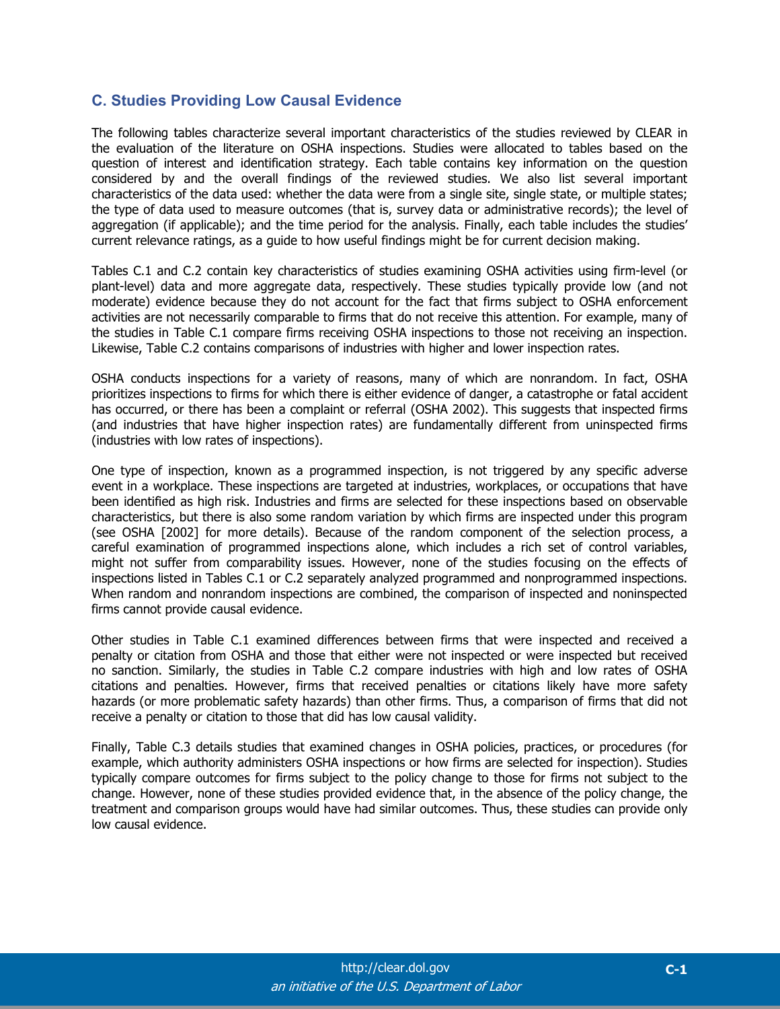## **C. Studies Providing Low Causal Evidence**

The following tables characterize several important characteristics of the studies reviewed by CLEAR in the evaluation of the literature on OSHA inspections. Studies were allocated to tables based on the question of interest and identification strategy. Each table contains key information on the question considered by and the overall findings of the reviewed studies. We also list several important characteristics of the data used: whether the data were from a single site, single state, or multiple states; the type of data used to measure outcomes (that is, survey data or administrative records); the level of aggregation (if applicable); and the time period for the analysis. Finally, each table includes the studies' current relevance ratings, as a guide to how useful findings might be for current decision making.

Tables C.1 and C.2 contain key characteristics of studies examining OSHA activities using firm-level (or plant-level) data and more aggregate data, respectively. These studies typically provide low (and not moderate) evidence because they do not account for the fact that firms subject to OSHA enforcement activities are not necessarily comparable to firms that do not receive this attention. For example, many of the studies in Table C.1 compare firms receiving OSHA inspections to those not receiving an inspection. Likewise, Table C.2 contains comparisons of industries with higher and lower inspection rates.

OSHA conducts inspections for a variety of reasons, many of which are nonrandom. In fact, OSHA prioritizes inspections to firms for which there is either evidence of danger, a catastrophe or fatal accident has occurred, or there has been a complaint or referral (OSHA 2002). This suggests that inspected firms (and industries that have higher inspection rates) are fundamentally different from uninspected firms (industries with low rates of inspections).

One type of inspection, known as a programmed inspection, is not triggered by any specific adverse event in a workplace. These inspections are targeted at industries, workplaces, or occupations that have been identified as high risk. Industries and firms are selected for these inspections based on observable characteristics, but there is also some random variation by which firms are inspected under this program (see OSHA [2002] for more details). Because of the random component of the selection process, a careful examination of programmed inspections alone, which includes a rich set of control variables, might not suffer from comparability issues. However, none of the studies focusing on the effects of inspections listed in Tables C.1 or C.2 separately analyzed programmed and nonprogrammed inspections. When random and nonrandom inspections are combined, the comparison of inspected and noninspected firms cannot provide causal evidence.

Other studies in Table C.1 examined differences between firms that were inspected and received a penalty or citation from OSHA and those that either were not inspected or were inspected but received no sanction. Similarly, the studies in Table C.2 compare industries with high and low rates of OSHA citations and penalties. However, firms that received penalties or citations likely have more safety hazards (or more problematic safety hazards) than other firms. Thus, a comparison of firms that did not receive a penalty or citation to those that did has low causal validity.

Finally, Table C.3 details studies that examined changes in OSHA policies, practices, or procedures (for example, which authority administers OSHA inspections or how firms are selected for inspection). Studies typically compare outcomes for firms subject to the policy change to those for firms not subject to the change. However, none of these studies provided evidence that, in the absence of the policy change, the treatment and comparison groups would have had similar outcomes. Thus, these studies can provide only low causal evidence.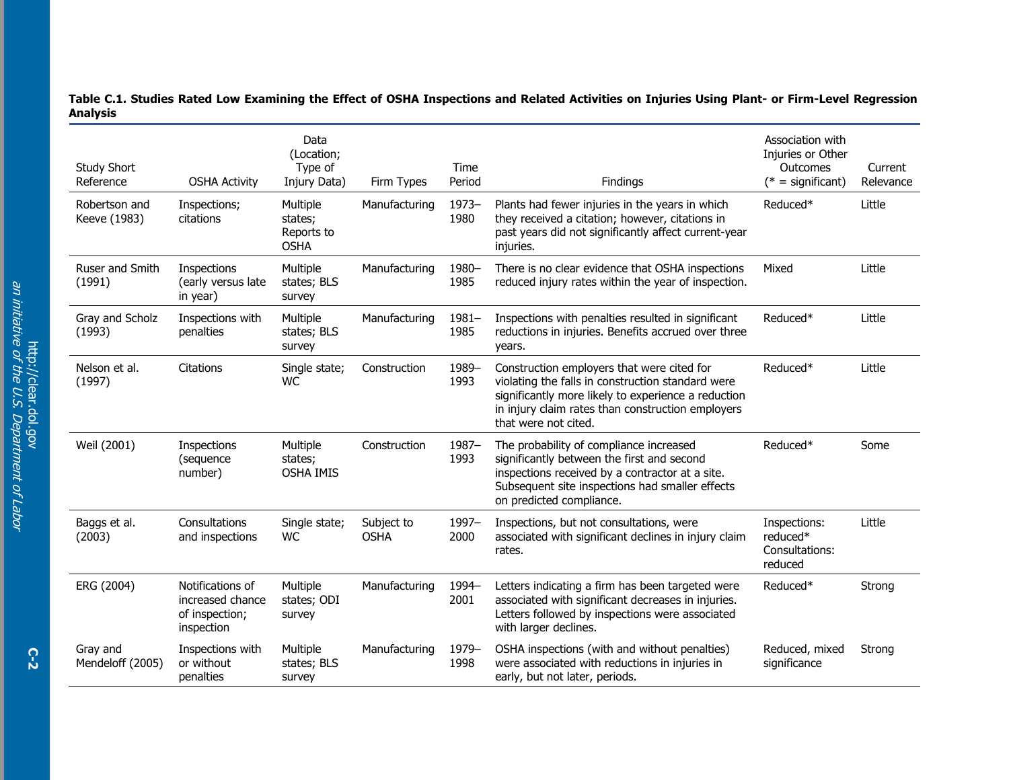| <b>Study Short</b><br>Reference | <b>OSHA Activity</b>                                                 | Data<br>(Location;<br>Type of<br>Injury Data)    | Firm Types                | Time<br>Period   | Findings                                                                                                                                                                                                                            | Association with<br>Injuries or Other<br>Outcomes<br>$(* = significant)$ | Current<br>Relevance |
|---------------------------------|----------------------------------------------------------------------|--------------------------------------------------|---------------------------|------------------|-------------------------------------------------------------------------------------------------------------------------------------------------------------------------------------------------------------------------------------|--------------------------------------------------------------------------|----------------------|
| Robertson and<br>Keeve (1983)   | Inspections;<br>citations                                            | Multiple<br>states;<br>Reports to<br><b>OSHA</b> | Manufacturing             | $1973 -$<br>1980 | Plants had fewer injuries in the years in which<br>they received a citation; however, citations in<br>past years did not significantly affect current-year<br>injuries.                                                             | Reduced*                                                                 | Little               |
| Ruser and Smith<br>(1991)       | Inspections<br>(early versus late<br>in year)                        | Multiple<br>states; BLS<br>survey                | Manufacturing             | 1980-<br>1985    | There is no clear evidence that OSHA inspections<br>reduced injury rates within the year of inspection.                                                                                                                             | Mixed                                                                    | Little               |
| Gray and Scholz<br>(1993)       | Inspections with<br>penalties                                        | Multiple<br>states; BLS<br>survey                | Manufacturing             | $1981 -$<br>1985 | Inspections with penalties resulted in significant<br>reductions in injuries. Benefits accrued over three<br>years.                                                                                                                 | Reduced*                                                                 | Little               |
| Nelson et al.<br>(1997)         | Citations                                                            | Single state;<br>WC                              | Construction              | 1989-<br>1993    | Construction employers that were cited for<br>violating the falls in construction standard were<br>significantly more likely to experience a reduction<br>in injury claim rates than construction employers<br>that were not cited. | Reduced*                                                                 | Little               |
| Weil (2001)                     | Inspections<br>(sequence<br>number)                                  | Multiple<br>states;<br><b>OSHA IMIS</b>          | Construction              | 1987-<br>1993    | The probability of compliance increased<br>significantly between the first and second<br>inspections received by a contractor at a site.<br>Subsequent site inspections had smaller effects<br>on predicted compliance.             | Reduced*                                                                 | Some                 |
| Baggs et al.<br>(2003)          | Consultations<br>and inspections                                     | Single state;<br><b>WC</b>                       | Subject to<br><b>OSHA</b> | 1997-<br>2000    | Inspections, but not consultations, were<br>associated with significant declines in injury claim<br>rates.                                                                                                                          | Inspections:<br>reduced*<br>Consultations:<br>reduced                    | Little               |
| ERG (2004)                      | Notifications of<br>increased chance<br>of inspection;<br>inspection | Multiple<br>states; ODI<br>survey                | Manufacturing             | 1994-<br>2001    | Letters indicating a firm has been targeted were<br>associated with significant decreases in injuries.<br>Letters followed by inspections were associated<br>with larger declines.                                                  | Reduced*                                                                 | Strong               |
| Gray and<br>Mendeloff (2005)    | Inspections with<br>or without<br>penalties                          | Multiple<br>states; BLS<br>survey                | Manufacturing             | 1979-<br>1998    | OSHA inspections (with and without penalties)<br>were associated with reductions in injuries in<br>early, but not later, periods.                                                                                                   | Reduced, mixed<br>significance                                           | Strong               |

**Table C.1. Studies Rated Low Examining the Effect of OSHA Inspections and Related Activities on Injuries Using Plant- or Firm-Level Regression Analysis**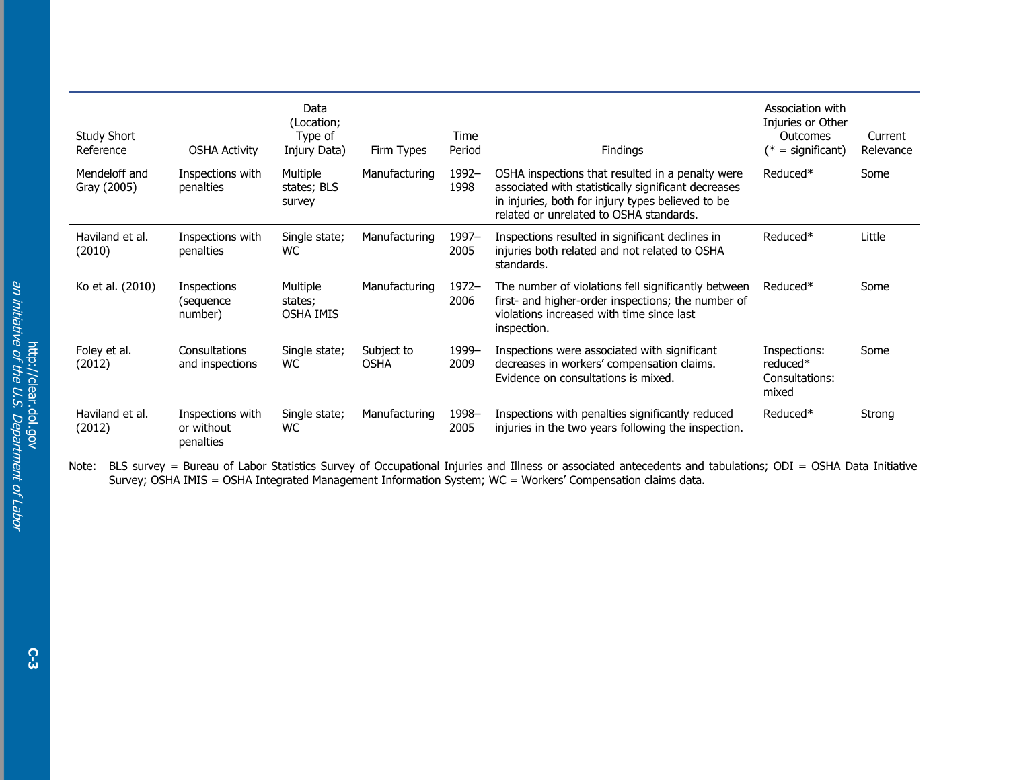| <b>Study Short</b><br>Reference | <b>OSHA Activity</b>                        | Data<br>(Location;<br>Type of<br>Injury Data) | Firm Types                | Time<br>Period | Findings                                                                                                                                                                                                | Association with<br>Injuries or Other<br><b>Outcomes</b><br>$(*)$ = significant) | Current<br>Relevance |
|---------------------------------|---------------------------------------------|-----------------------------------------------|---------------------------|----------------|---------------------------------------------------------------------------------------------------------------------------------------------------------------------------------------------------------|----------------------------------------------------------------------------------|----------------------|
| Mendeloff and<br>Gray (2005)    | Inspections with<br>penalties               | Multiple<br>states; BLS<br>survey             | Manufacturing             | 1992-<br>1998  | OSHA inspections that resulted in a penalty were<br>associated with statistically significant decreases<br>in injuries, both for injury types believed to be<br>related or unrelated to OSHA standards. | Reduced*                                                                         | Some                 |
| Haviland et al.<br>(2010)       | Inspections with<br>penalties               | Single state;<br>WC.                          | Manufacturing             | 1997–<br>2005  | Inspections resulted in significant declines in<br>injuries both related and not related to OSHA<br>standards.                                                                                          | Reduced*                                                                         | Little               |
| Ko et al. (2010)                | Inspections<br>(sequence<br>number)         | Multiple<br>states;<br><b>OSHA IMIS</b>       | Manufacturing             | 1972-<br>2006  | The number of violations fell significantly between<br>first- and higher-order inspections; the number of<br>violations increased with time since last<br>inspection.                                   | Reduced*                                                                         | Some                 |
| Foley et al.<br>(2012)          | Consultations<br>and inspections            | Single state;<br><b>WC</b>                    | Subject to<br><b>OSHA</b> | 1999-<br>2009  | Inspections were associated with significant<br>decreases in workers' compensation claims.<br>Evidence on consultations is mixed.                                                                       | Inspections:<br>reduced*<br>Consultations:<br>mixed                              | Some                 |
| Haviland et al.<br>(2012)       | Inspections with<br>or without<br>penalties | Single state;<br>WC.                          | Manufacturing             | 1998-<br>2005  | Inspections with penalties significantly reduced<br>injuries in the two years following the inspection.                                                                                                 | Reduced*                                                                         | Strong               |

Note: BLS survey = Bureau of Labor Statistics Survey of Occupational Injuries and Illness or associated antecedents and tabulations; ODI = OSHA Data Initiative Survey; OSHA IMIS = OSHA Integrated Management Information System; WC = Workers' Compensation claims data.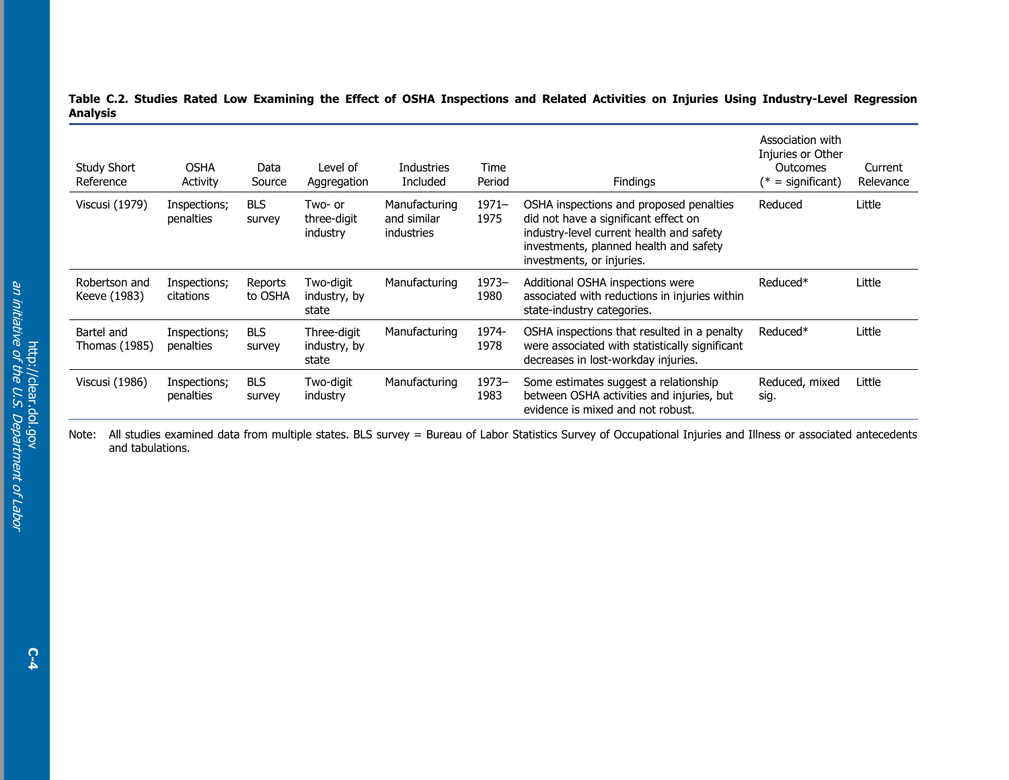#### **Table C.2. Studies Rated Low Examining the Effect of OSHA Inspections and Related Activities on Injuries Using Industry-Level Regression Analysis**

| Study Short<br>Reference      | <b>OSHA</b><br><b>Activity</b> | Data<br>Source       | I evel of<br>Aggregation             | <b>Industries</b><br>Included                     | Time<br>Period   | <b>Findings</b>                                                                                                                                                                                    | Association with<br>Injuries or Other<br>Outcomes<br>$(*)$ = significant) | Current<br>Relevance |
|-------------------------------|--------------------------------|----------------------|--------------------------------------|---------------------------------------------------|------------------|----------------------------------------------------------------------------------------------------------------------------------------------------------------------------------------------------|---------------------------------------------------------------------------|----------------------|
| Viscusi (1979)                | Inspections;<br>penalties      | <b>BLS</b><br>survey | Two- or<br>three-digit<br>industry   | Manufacturing<br>and similar<br><i>industries</i> | $1971 -$<br>1975 | OSHA inspections and proposed penalties<br>did not have a significant effect on<br>industry-level current health and safety<br>investments, planned health and safety<br>investments, or injuries. | Reduced                                                                   | Little               |
| Robertson and<br>Keeve (1983) | Inspections;<br>citations      | Reports<br>to OSHA   | Two-digit<br>industry, by<br>state   | Manufacturing                                     | $1973 -$<br>1980 | Additional OSHA inspections were<br>associated with reductions in injuries within<br>state-industry categories.                                                                                    | Reduced <sup>*</sup>                                                      | Little               |
| Bartel and<br>Thomas (1985)   | Inspections;<br>penalties      | <b>BLS</b><br>survey | Three-digit<br>industry, by<br>state | Manufacturing                                     | 1974-<br>1978    | OSHA inspections that resulted in a penalty<br>were associated with statistically significant<br>decreases in lost-workday injuries.                                                               | Reduced*                                                                  | Little               |
| Viscusi (1986)                | Inspections;<br>penalties      | <b>BLS</b><br>survey | Two-digit<br>industry                | Manufacturing                                     | $1973 -$<br>1983 | Some estimates suggest a relationship<br>between OSHA activities and injuries, but<br>evidence is mixed and not robust.                                                                            | Reduced, mixed<br>sig.                                                    | Little               |

Note: All studies examined data from multiple states. BLS survey = Bureau of Labor Statistics Survey of Occupational Injuries and Illness or associated antecedents and tabulations.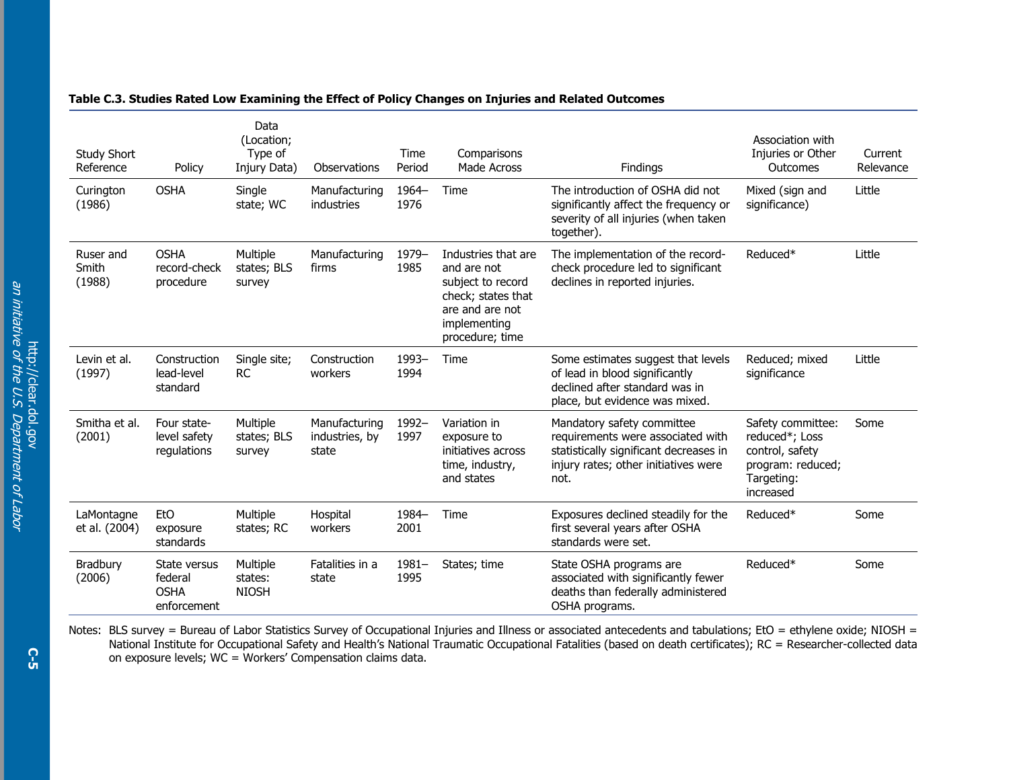| <b>Study Short</b><br>Reference | Policy                                                | Data<br>(Location;<br>Type of<br>Injury Data) | Observations                             | Time<br>Period   | Comparisons<br>Made Across                                                                                                          | Findings                                                                                                                                                  | Association with<br>Injuries or Other<br>Outcomes                                                      | Current<br>Relevance |
|---------------------------------|-------------------------------------------------------|-----------------------------------------------|------------------------------------------|------------------|-------------------------------------------------------------------------------------------------------------------------------------|-----------------------------------------------------------------------------------------------------------------------------------------------------------|--------------------------------------------------------------------------------------------------------|----------------------|
| Curington<br>(1986)             | <b>OSHA</b>                                           | Single<br>state; WC                           | Manufacturing<br>industries              | 1964-<br>1976    | Time                                                                                                                                | The introduction of OSHA did not<br>significantly affect the frequency or<br>severity of all injuries (when taken<br>together).                           | Mixed (sign and<br>significance)                                                                       | Little               |
| Ruser and<br>Smith<br>(1988)    | <b>OSHA</b><br>record-check<br>procedure              | Multiple<br>states; BLS<br>survey             | Manufacturing<br>firms                   | 1979-<br>1985    | Industries that are<br>and are not<br>subject to record<br>check; states that<br>are and are not<br>implementing<br>procedure; time | The implementation of the record-<br>check procedure led to significant<br>declines in reported injuries.                                                 | Reduced*                                                                                               | Little               |
| Levin et al.<br>(1997)          | Construction<br>lead-level<br>standard                | Single site;<br><b>RC</b>                     | Construction<br>workers                  | 1993-<br>1994    | Time                                                                                                                                | Some estimates suggest that levels<br>of lead in blood significantly<br>declined after standard was in<br>place, but evidence was mixed.                  | Reduced; mixed<br>significance                                                                         | Little               |
| Smitha et al.<br>(2001)         | Four state-<br>level safety<br>regulations            | Multiple<br>states; BLS<br>survey             | Manufacturing<br>industries, by<br>state | 1992-<br>1997    | Variation in<br>exposure to<br>initiatives across<br>time, industry,<br>and states                                                  | Mandatory safety committee<br>requirements were associated with<br>statistically significant decreases in<br>injury rates; other initiatives were<br>not. | Safety committee:<br>reduced*; Loss<br>control, safety<br>program: reduced;<br>Targeting:<br>increased | Some                 |
| LaMontagne<br>et al. (2004)     | <b>EtO</b><br>exposure<br>standards                   | Multiple<br>states; RC                        | Hospital<br>workers                      | 1984-<br>2001    | Time                                                                                                                                | Exposures declined steadily for the<br>first several years after OSHA<br>standards were set.                                                              | Reduced*                                                                                               | Some                 |
| <b>Bradbury</b><br>(2006)       | State versus<br>federal<br><b>OSHA</b><br>enforcement | Multiple<br>states:<br><b>NIOSH</b>           | Fatalities in a<br>state                 | $1981 -$<br>1995 | States; time                                                                                                                        | State OSHA programs are<br>associated with significantly fewer<br>deaths than federally administered<br>OSHA programs.                                    | Reduced*                                                                                               | Some                 |

### **Table C.3. Studies Rated Low Examining the Effect of Policy Changes on Injuries and Related Outcomes**

Notes: BLS survey = Bureau of Labor Statistics Survey of Occupational Injuries and Illness or associated antecedents and tabulations; EtO = ethylene oxide; NIOSH = National Institute for Occupational Safety and Health's National Traumatic Occupational Fatalities (based on death certificates); RC = Researcher-collected data on exposure levels; WC = Workers' Compensation claims data.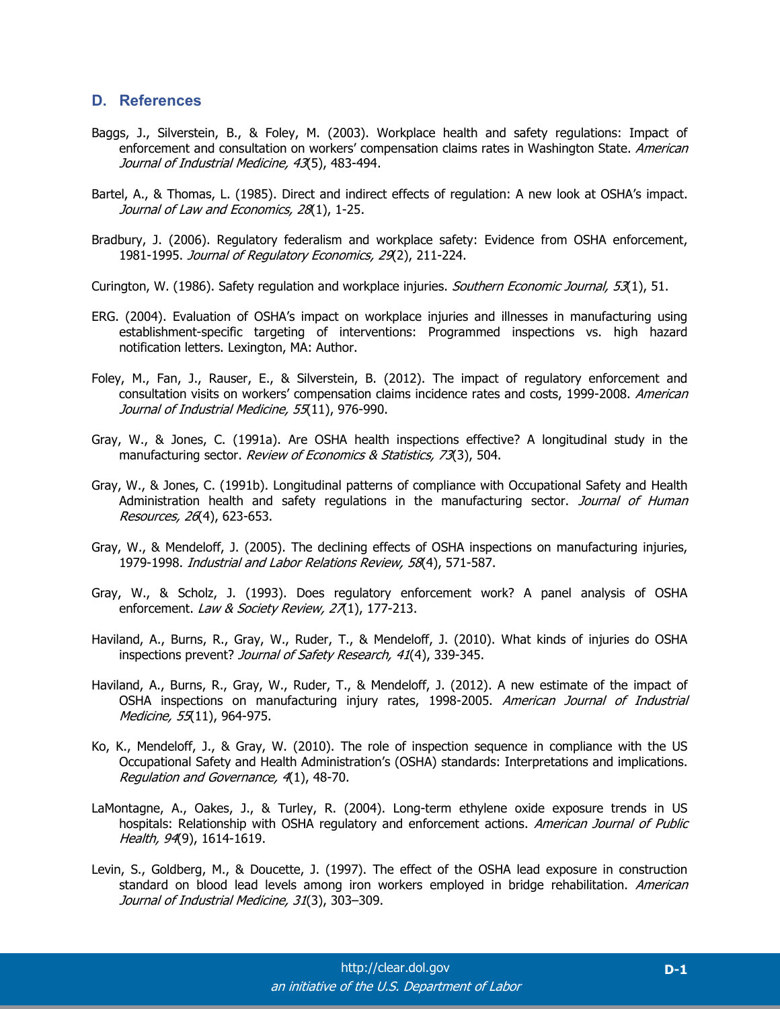## **D. References**

- Baggs, J., Silverstein, B., & Foley, M. (2003). Workplace health and safety regulations: Impact of enforcement and consultation on workers' compensation claims rates in Washington State. American Journal of Industrial Medicine, 43(5), 483-494.
- Bartel, A., & Thomas, L. (1985). Direct and indirect effects of regulation: A new look at OSHA's impact. Journal of Law and Economics, 28(1), 1-25.
- Bradbury, J. (2006). Regulatory federalism and workplace safety: Evidence from OSHA enforcement, 1981-1995. Journal of Regulatory Economics, 29(2), 211-224.
- Curington, W. (1986). Safety regulation and workplace injuries. Southern Economic Journal, 53(1), 51.
- ERG. (2004). Evaluation of OSHA's impact on workplace injuries and illnesses in manufacturing using establishment-specific targeting of interventions: Programmed inspections vs. high hazard notification letters. Lexington, MA: Author.
- Foley, M., Fan, J., Rauser, E., & Silverstein, B. (2012). The impact of regulatory enforcement and consultation visits on workers' compensation claims incidence rates and costs, 1999-2008. American Journal of Industrial Medicine, 55(11), 976-990.
- Gray, W., & Jones, C. (1991a). Are OSHA health inspections effective? A longitudinal study in the manufacturing sector. Review of Economics & Statistics, 73(3), 504.
- Gray, W., & Jones, C. (1991b). Longitudinal patterns of compliance with Occupational Safety and Health Administration health and safety regulations in the manufacturing sector. Journal of Human Resources, 26(4), 623-653.
- Gray, W., & Mendeloff, J. (2005). The declining effects of OSHA inspections on manufacturing injuries, 1979-1998. Industrial and Labor Relations Review, 58(4), 571-587.
- Gray, W., & Scholz, J. (1993). Does regulatory enforcement work? A panel analysis of OSHA enforcement. Law & Society Review, 27(1), 177-213.
- Haviland, A., Burns, R., Gray, W., Ruder, T., & Mendeloff, J. (2010). What kinds of injuries do OSHA inspections prevent? Journal of Safety Research, 41(4), 339-345.
- Haviland, A., Burns, R., Gray, W., Ruder, T., & Mendeloff, J. (2012). A new estimate of the impact of OSHA inspections on manufacturing injury rates, 1998-2005. American Journal of Industrial Medicine, 55(11), 964-975.
- Ko, K., Mendeloff, J., & Gray, W. (2010). The role of inspection sequence in compliance with the US Occupational Safety and Health Administration's (OSHA) standards: Interpretations and implications. Regulation and Governance, 4(1), 48-70.
- LaMontagne, A., Oakes, J., & Turley, R. (2004). Long-term ethylene oxide exposure trends in US hospitals: Relationship with OSHA regulatory and enforcement actions. American Journal of Public Health, 94(9), 1614-1619.
- Levin, S., Goldberg, M., & Doucette, J. (1997). The effect of the OSHA lead exposure in construction standard on blood lead levels among iron workers employed in bridge rehabilitation. American Journal of Industrial Medicine, 31(3), 303–309.